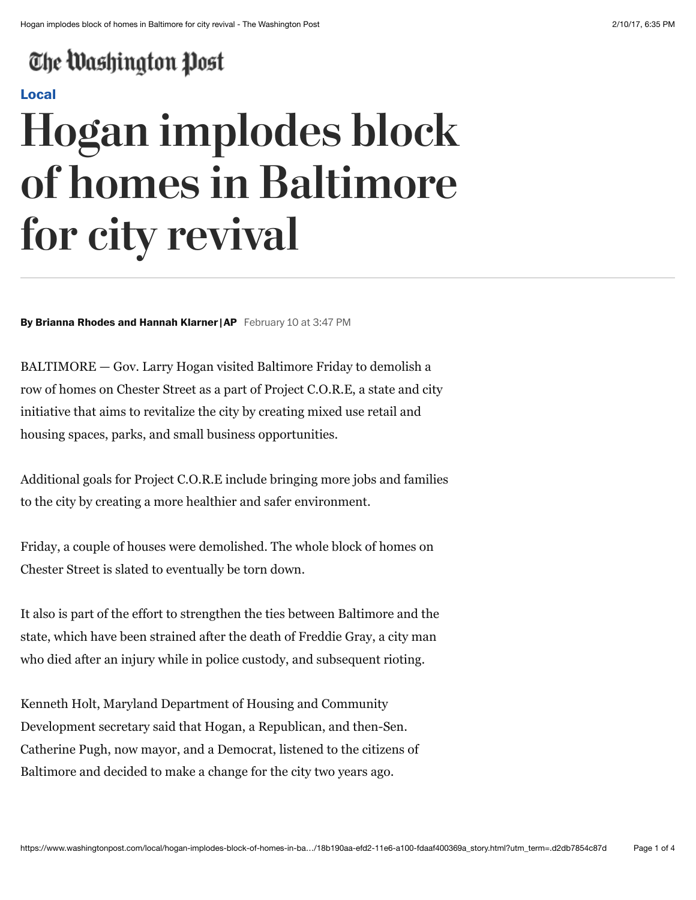# The Washington Post

## **[Local](https://www.washingtonpost.com/local)**

# **Hogan implodes block of homes in Baltimore for city revival**

#### **By Brianna Rhodes and Hannah Klarner |AP** February 10 at 3:47 PM

BALTIMORE — Gov. Larry Hogan visited Baltimore Friday to demolish a row of homes on Chester Street as a part of Project C.O.R.E, a state and city initiative that aims to revitalize the city by creating mixed use retail and housing spaces, parks, and small business opportunities.

Additional goals for Project C.O.R.E include bringing more jobs and families to the city by creating a more healthier and safer environment.

Friday, a couple of houses were demolished. The whole block of homes on Chester Street is slated to eventually be torn down.

It also is part of the effort to strengthen the ties between Baltimore and the state, which have been strained after the death of Freddie Gray, a city man who died after an injury while in police custody, and subsequent rioting.

Kenneth Holt, Maryland Department of Housing and Community Development secretary said that Hogan, a Republican, and then-Sen. Catherine Pugh, now mayor, and a Democrat, listened to the citizens of Baltimore and decided to make a change for the city two years ago.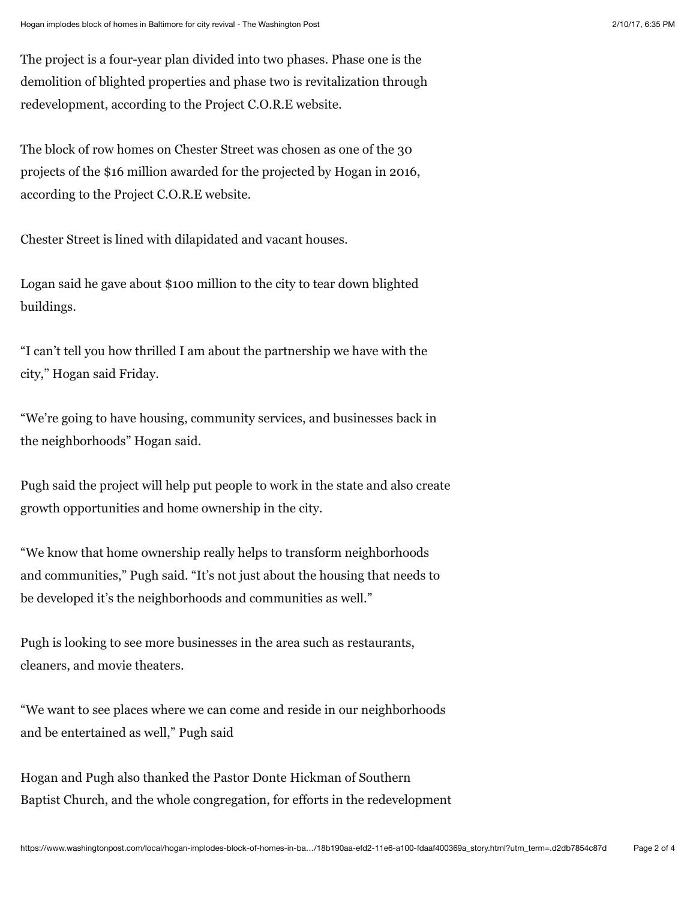The project is a four-year plan divided into two phases. Phase one is the demolition of blighted properties and phase two is revitalization through redevelopment, according to the Project C.O.R.E website.

The block of row homes on Chester Street was chosen as one of the 30 projects of the \$16 million awarded for the projected by Hogan in 2016, according to the Project C.O.R.E website.

Chester Street is lined with dilapidated and vacant houses.

Logan said he gave about \$100 million to the city to tear down blighted buildings.

"I can't tell you how thrilled I am about the partnership we have with the city," Hogan said Friday.

"We're going to have housing, community services, and businesses back in the neighborhoods" Hogan said.

Pugh said the project will help put people to work in the state and also create growth opportunities and home ownership in the city.

"We know that home ownership really helps to transform neighborhoods and communities," Pugh said. "It's not just about the housing that needs to be developed it's the neighborhoods and communities as well."

Pugh is looking to see more businesses in the area such as restaurants, cleaners, and movie theaters.

"We want to see places where we can come and reside in our neighborhoods and be entertained as well," Pugh said

Hogan and Pugh also thanked the Pastor Donte Hickman of Southern Baptist Church, and the whole congregation, for efforts in the redevelopment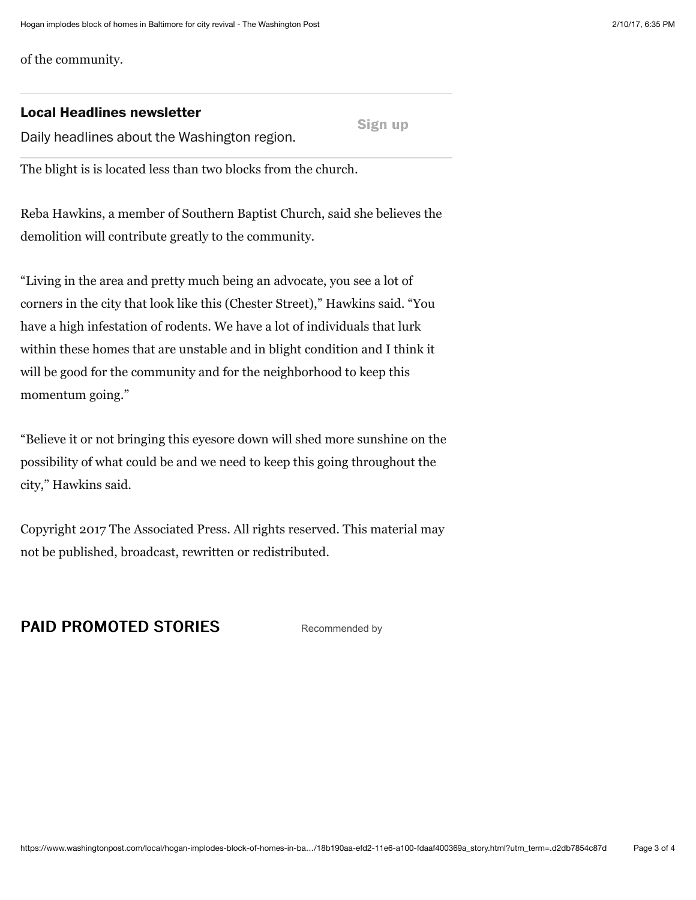of the community.

### **Local Headlines newsletter**

**Sign up**

Daily headlines about the Washington region.

The blight is is located less than two blocks from the church.

Reba Hawkins, a member of Southern Baptist Church, said she believes the demolition will contribute greatly to the community.

"Living in the area and pretty much being an advocate, you see a lot of corners in the city that look like this (Chester Street)," Hawkins said. "You have a high infestation of rodents. We have a lot of individuals that lurk within these homes that are unstable and in blight condition and I think it will be good for the community and for the neighborhood to keep this momentum going."

"Believe it or not bringing this eyesore down will shed more sunshine on the possibility of what could be and we need to keep this going throughout the city," Hawkins said.

Copyright 2017 The Associated Press. All rights reserved. This material may not be published, broadcast, rewritten or redistributed.

# **PAID PROMOTED STORIES** [Recommended by](https://www.outbrain.com/what-is/default/en)